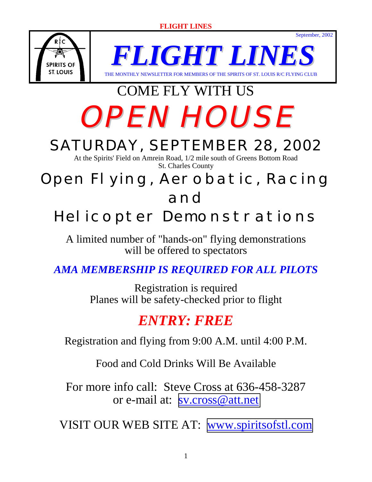

*FLIGHT LIN* WSLETTER FOR MEMBERS OF THE SPIRITS OF ST. LOUIS R/C FLYING CLUB

September, 2002

# COME FLY WITH US OPEN HOUSE

# SATURDAY, SEPTEMBER 28, 2002

At the Spirits' Field on Amrein Road, 1/2 mile south of Greens Bottom Road St. Charles County

### Open Flying, Aerobatic, Racing and

# Helicopter Demonstrations

A limited number of "hands-on" flying demonstrations will be offered to spectators

### *AMA MEMBERSHIP IS REQUIRED FOR ALL PILOTS*

Registration is required Planes will be safety-checked prior to flight

### *ENTRY: FREE*

Registration and flying from 9:00 A.M. until 4:00 P.M.

Food and Cold Drinks Will Be Available

For more info call: Steve Cross at 636-458-3287 or e-mail at: [sv.cross@att.net](mailto:sv.cross@att.net)

VISIT OUR WEB SITE AT: [www.spiritsofstl.com](http://www.spiritsofstl.com/)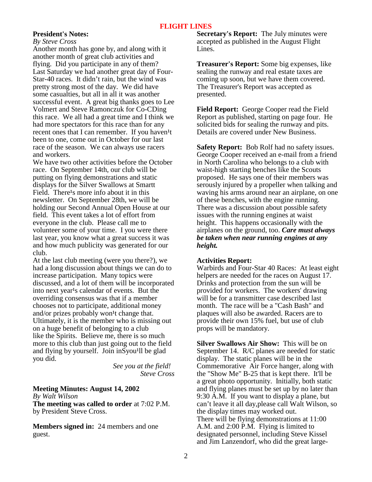#### **President's Notes:**

*By Steve Cross*

Another month has gone by, and along with it another month of great club activities and flying. Did you participate in any of them? Last Saturday we had another great day of Four-Star-40 races. It didn't rain, but the wind was pretty strong most of the day. We did have some casualties, but all in all it was another successful event. A great big thanks goes to Lee Volmert and Steve Ramonczuk for Co-CDing this race. We all had a great time and I think we had more spectators for this race than for any recent ones that I can remember. If you haven<sup>1</sup>t been to one, come out in October for our last race of the season. We can always use racers and workers.

We have two other activities before the October race. On September 14th, our club will be putting on flying demonstrations and static displays for the Silver Swallows at Smartt Field. There<sup>1</sup>s more info about it in this newsletter. On September 28th, we will be holding our Second Annual Open House at our field. This event takes a lot of effort from everyone in the club. Please call me to volunteer some of your time. I you were there last year, you know what a great success it was and how much publicity was generated for our club.

At the last club meeting (were you there?), we had a long discussion about things we can do to increase participation. Many topics were discussed, and a lot of them will be incorporated into next year<sup>1</sup>s calendar of events. But the overriding consensus was that if a member chooses not to participate, additional money and/or prizes probably won<sup>1</sup>t change that. Ultimately, it is the member who is missing out on a huge benefit of belonging to a club like the Spirits. Believe me, there is so much more to this club than just going out to the field and flying by yourself. Join inSyou<sup>1</sup>ll be glad you did.

 *See you at the field! Steve Cross* 

#### **Meeting Minutes: August 14, 2002**

*By Walt Wilson* 

**The meeting was called to order** at 7:02 P.M. by President Steve Cross.

**Members signed in:** 24 members and one guest.

**Secretary's Report:** The July minutes were accepted as published in the August Flight Lines.

**Treasurer's Report:** Some big expenses, like sealing the runway and real estate taxes are coming up soon, but we have them covered. The Treasurer's Report was accepted as presented.

**Field Report:** George Cooper read the Field Report as published, starting on page four. He solicited bids for sealing the runway and pits. Details are covered under New Business.

**Safety Report:** Bob Rolf had no safety issues. George Cooper received an e-mail from a friend in North Carolina who belongs to a club with waist-high starting benches like the Scouts proposed. He says one of their members was serously injured by a propeller when talking and waving his arms around near an airplane, on one of these benches, with the engine running. There was a discussion about possible safety issues with the running engines at waist height. This happens occasionally with the airplanes on the ground, too. *Care must always be taken when near running engines at any height.*

#### **Activities Report:**

Warbirds and Four-Star 40 Races: At least eight helpers are needed for the races on August 17. Drinks and protection from the sun will be provided for workers. The workers' drawing will be for a transmitter case described last month. The race will be a "Cash Bash" and plaques will also be awarded. Racers are to provide their own 15% fuel, but use of club props will be mandatory.

**Silver Swallows Air Show:** This will be on September 14. R/C planes are needed for static display. The static planes will be in the Commemorative Air Force hanger, along with the "Show Me" B-25 that is kept there. It'll be a great photo opportunity. Initially, both static and flying planes must be set up by no later than 9:30 A.M. If you want to display a plane, but can't leave it all day,please call Walt Wilson, so the display times may worked out. There will be flying demonstrations at 11:00 A.M. and 2:00 P.M. Flying is limited to designated personnel, including Steve Kissel and Jim Lanzendorf, who did the great large-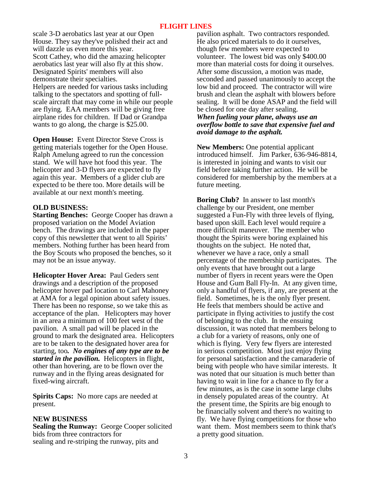scale 3-D aerobatics last year at our Open House. They say they've polished their act and will dazzle us even more this year. Scott Cathey, who did the amazing helicopter aerobatics last year will also fly at this show. Designated Spirits' members will also demonstrate their specialties. Helpers are needed for various tasks including talking to the spectators and spotting of fullscale aircraft that may come in while our people are flying. EAA members will be giving free airplane rides for children. If Dad or Grandpa wants to go along, the charge is \$25.00.

**Open House:** Event Director Steve Cross is getting materials together for the Open House. Ralph Amelung agreed to run the concession stand. We will have hot food this year. The helicopter and 3-D flyers are expected to fly again this year. Members of a glider club are expected to be there too. More details will be available at our next month's meeting.

#### **OLD BUSINESS:**

**Starting Benches:** George Cooper has drawn a proposed variation on the Model Aviation bench. The drawings are included in the paper copy of this newsletter that went to all Spirits' members. Nothing further has been heard from the Boy Scouts who proposed the benches, so it may not be an issue anyway.

**Helicopter Hover Area:** Paul Geders sent drawings and a description of the proposed helicopter hover pad location to Carl Mahoney at AMA for a legal opinion about safety issues. There has been no response, so we take this as acceptance of the plan. Helicopters may hover in an area a minimum of 100 feet west of the pavilion. A small pad will be placed in the ground to mark the designated area. Helicopters are to be taken to the designated hover area for starting, too*. No engines of any type are to be started in the pavilion.* Helicopters in flight, other than hovering, are to be flown over the runway and in the flying areas designated for fixed-wing aircraft.

**Spirits Caps:** No more caps are needed at present.

#### **NEW BUSINESS**

**Sealing the Runway:** George Cooper solicited bids from three contractors for sealing and re-striping the runway, pits and

pavilion asphalt. Two contractors responded. He also priced materials to do it ourselves, though few members were expected to volunteer. The lowest bid was only \$400.00 more than material costs for doing it ourselves. After some discussion, a motion was made, seconded and passed unanimously to accept the low bid and proceed. The contractor will wire brush and clean the asphalt with blowers before sealing. It will be done ASAP and the field will be closed for one day after sealing. *When fueling your plane, always use an overflow bottle to save that expensive fuel and avoid damage to the asphalt.* 

**New Members:** One potential applicant introduced himself. Jim Parker, 636-946-8814, is interested in joining and wants to visit our field before taking further action. He will be considered for membership by the members at a future meeting.

**Boring Club?** In answer to last month's challenge by our President, one member suggested a Fun-Fly with three levels of flying, based upon skill. Each level would require a more difficult maneuver. The member who thought the Spirits were boring explained his thoughts on the subject. He noted that, whenever we have a race, only a small percentage of the membership participates. The only events that have brought out a large number of flyers in recent years were the Open House and Gum Ball Fly-In. At any given time, only a handful of flyers, if any, are present at the field. Sometimes, he is the only flyer present. He feels that members should be active and participate in flying activities to justify the cost of belonging to the club. In the ensuing discussion, it was noted that members belong to a club for a variety of reasons, only one of which is flying. Very few flyers are interested in serious competition. Most just enjoy flying for personal satisfaction and the camaraderie of being with people who have similar interests. It was noted that our situation is much better than having to wait in line for a chance to fly for a few minutes, as is the case in some large clubs in densely populated areas of the country. At the present time, the Spirits are big enough to be financially solvent and there's no waiting to fly. We have flying competitions for those who want them. Most members seem to think that's a pretty good situation.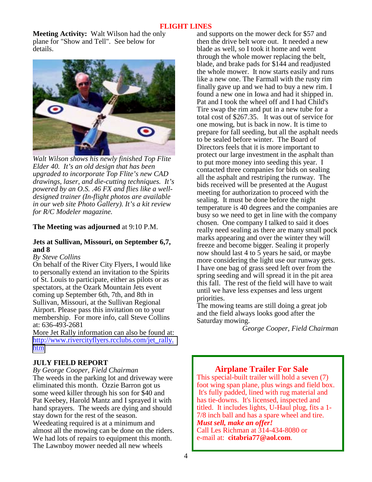**Meeting Activity:** Walt Wilson had the only plane for "Show and Tell". See below for details.



*Walt Wilson shows his newly finished Top Flite Elder 40. It's an old design that has been upgraded to incorporate Top Flite's new CAD drawings, laser, and die-cutting techniques. It's powered by an O.S. .46 FX and flies like a welldesigned trainer (In-flight photos are available in our web site Photo Gallery). It's a kit review for R/C Modeler magazine.* 

#### **The Meeting was adjourned** at 9:10 P.M.

#### **Jets at Sullivan, Missouri, on September 6,7, and 8**

#### *By Steve Collins*

On behalf of the River City Flyers, I would like to personally extend an invitation to the Spirits of St. Louis to participate, either as pilots or as spectators, at the Ozark Mountain Jets event coming up September 6th, 7th, and 8th in Sullivan, Missouri, at the Sullivan Regional Airport. Please pass this invitation on to your membership. For more info, call Steve Collins at: 636-493-2681

More Jet Rally information can also be found at: [http://www.rivercityflyers.rcclubs.com/jet\\_rally.](http://www.rivercityflyers.rcclubs.com/jet_rally.htm) [htm](http://www.rivercityflyers.rcclubs.com/jet_rally.htm)

#### **JULY FIELD REPORT**

*By George Cooper, Field Chairman* The weeds in the parking lot and driveway were eliminated this month. Ozzie Barron got us some weed killer through his son for \$40 and Pat Keebey, Harold Mantz and I sprayed it with hand sprayers. The weeds are dying and should stay down for the rest of the season. Weedeating required is at a minimum and almost all the mowing can be done on the riders. We had lots of repairs to equipment this month. The Lawnboy mower needed all new wheels

and supports on the mower deck for \$57 and then the drive belt wore out. It needed a new blade as well, so I took it home and went through the whole mower replacing the belt, blade, and brake pads for \$144 and readjusted the whole mower. It now starts easily and runs like a new one. The Farmall with the rusty rim finally gave up and we had to buy a new rim. I found a new one in Iowa and had it shipped in. Pat and I took the wheel off and I had Child's Tire swap the rim and put in a new tube for a total cost of \$267.35. It was out of service for one mowing, but is back in now. It is time to prepare for fall seeding, but all the asphalt needs to be sealed before winter. The Board of Directors feels that it is more important to protect our large investment in the asphalt than to put more money into seeding this year. I contacted three companies for bids on sealing all the asphalt and restriping the runway. The bids received will be presented at the August meeting for authorization to proceed with the sealing. It must be done before the night temperature is 40 degrees and the companies are busy so we need to get in line with the company chosen. One company I talked to said it does really need sealing as there are many small pock marks appearing and over the winter they will freeze and become bigger. Sealing it properly now should last 4 to 5 years he said, or maybe more considering the light use our runway gets. I have one bag of grass seed left over from the spring seeding and will spread it in the pit area this fall. The rest of the field will have to wait until we have less expenses and less urgent priorities.

The mowing teams are still doing a great job and the field always looks good after the Saturday mowing.

 *George Cooper, Field Chairman*

#### **Airplane Trailer For Sale**

This special-built trailer will hold a seven (7) foot wing span plane, plus wings and field box. It's fully padded, lined with rug material and has tie-downs. It's licensed, inspected and titled. It includes lights, U-Haul plug, fits a 1- 7/8 inch ball and has a spare wheel and tire. *Must sell, make an offer!* Call Les Richman at 314-434-8080 or e-mail at: **citabria77@aol.com**.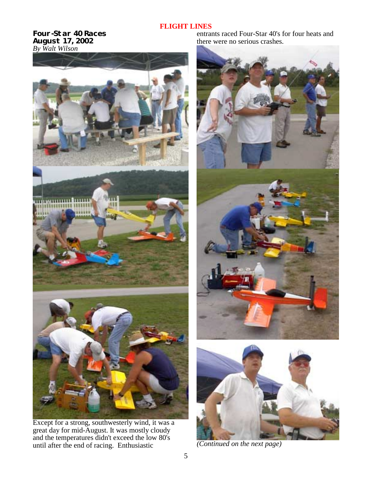**Four-Star 40 Races August 17, 2002**  *By Walt Wilson* 



Except for a strong, southwesterly wind, it was a great day for mid-August. It was mostly cloudy and the temperatures didn't exceed the low 80's until after the end of racing. Enthusiastic

entrants raced Four-Star 40's for four heats and there were no serious crashes.





*(Continued on the next page)*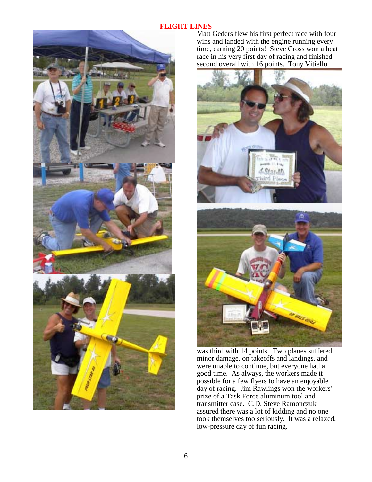

Matt Geders flew his first perfect race with four wins and landed with the engine running every time, earning 20 points! Steve Cross won a heat race in his very first day of racing and finished second overall with 16 points. Tony Vitiello



was third with 14 points. Two planes suffered minor damage, on takeoffs and landings, and were unable to continue, but everyone had a good time. As always, the workers made it possible for a few flyers to have an enjoyable day of racing. Jim Rawlings won the workers' prize of a Task Force aluminum tool and transmitter case. C.D. Steve Ramonczuk assured there was a lot of kidding and no one took themselves too seriously. It was a relaxed, low-pressure day of fun racing.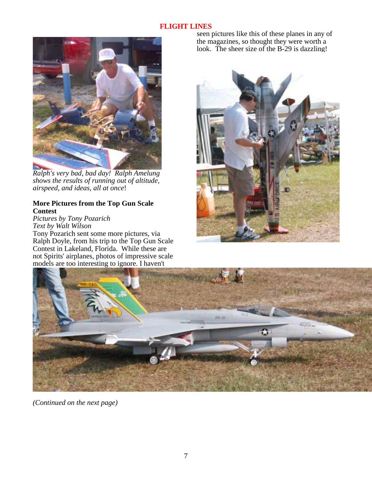

*Ralph's very bad, bad day! Ralph Amelung shows the results of running out of altitude, airspeed, and ideas, all at once*!

#### **More Pictures from the Top Gun Scale Contest**

*Pictures by Tony Pozarich Text by Walt Wilson*

Tony Pozarich sent some more pictures, via Ralph Doyle, from his trip to the Top Gun Scale Contest in Lakeland, Florida. While these are not Spirits' airplanes, photos of impressive scale models are too interesting to ignore. I haven't

seen pictures like this of these planes in any of the magazines, so thought they were worth a look. The sheer size of the B-29 is dazzling!





*(Continued on the next page)*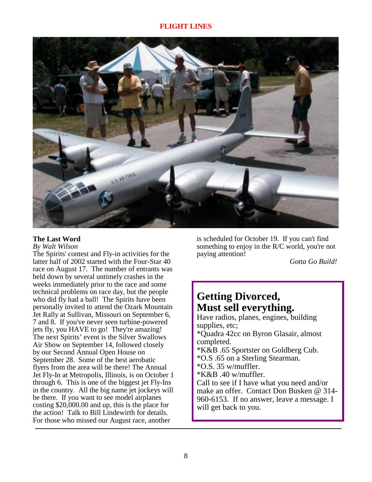

#### **The Last Word**

#### *By Walt Wilson*

The Spirits' contest and Fly-in activities for the latter half of 2002 started with the Four-Star 40 race on August 17. The number of entrants was held down by several untimely crashes in the weeks immediately prior to the race and some technical problems on race day, but the people who did fly had a ball! The Spirits have been personally invited to attend the Ozark Mountain Jet Rally at Sullivan, Missouri on September 6, 7 and 8. If you've never seen turbine-powered jets fly, you HAVE to go! They're amazing! The next Spirits' event is the Silver Swallows Air Show on September 14, followed closely by our Second Annual Open House on September 28. Some of the best aerobatic flyers from the area will be there! The Annual Jet Fly-In at Metropolis, Illinois, is on October 1 through 6. This is one of the biggest jet Fly-Ins in the country. All the big name jet jockeys will be there. If you want to see model airplanes costing \$20,000.00 and up, this is the place for the action! Talk to Bill Lindewirth for details. For those who missed our August race, another

is scheduled for October 19. If you can't find something to enjoy in the R/C world, you're not paying attention!

*Gotta Go Build!*

### **Getting Divorced, Must sell everything.**

Have radios, planes, engines, building supplies, etc; \*Quadra 42cc on Byron Glasair, almost completed. \*K&B .65 Sportster on Goldberg Cub. \*O.S .65 on a Sterling Stearman. \*O.S. 35 w/muffler.  $*K&B.40$  w/muffler. Call to see if I have what you need and/or make an offer. Contact Don Busken @ 314- 960-6153. If no answer, leave a message. I will get back to you.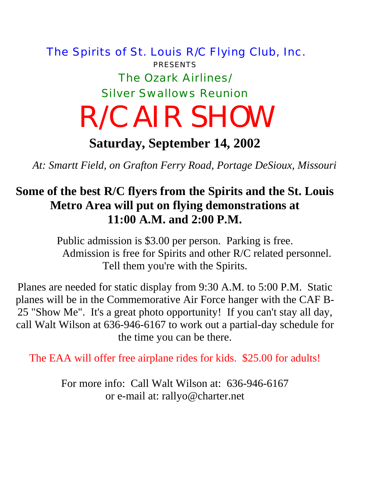## The Spirits of St. Louis R/C Flying Club, Inc. PRESENTS The Ozark Airlines/ Silver Swallows Reunion R/C AIR SHOW

**Saturday, September 14, 2002** 

*At: Smartt Field, on Grafton Ferry Road, Portage DeSioux, Missouri* 

### **Some of the best R/C flyers from the Spirits and the St. Louis Metro Area will put on flying demonstrations at 11:00 A.M. and 2:00 P.M.**

Public admission is \$3.00 per person. Parking is free. Admission is free for Spirits and other R/C related personnel. Tell them you're with the Spirits.

Planes are needed for static display from 9:30 A.M. to 5:00 P.M. Static planes will be in the Commemorative Air Force hanger with the CAF B-25 "Show Me". It's a great photo opportunity! If you can't stay all day, call Walt Wilson at 636-946-6167 to work out a partial-day schedule for the time you can be there.

The EAA will offer free airplane rides for kids. \$25.00 for adults!

For more info: Call Walt Wilson at: 636-946-6167 or e-mail at: rallyo@charter.net